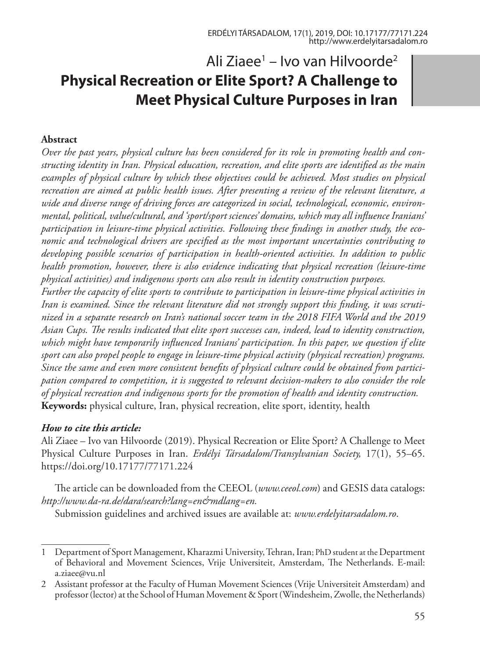# Ali Ziaee<sup>1</sup> – Ivo van Hilvoorde<sup>2</sup> **Physical Recreation or Elite Sport? A Challenge to Meet Physical Culture Purposes in Iran**

#### **Abstract**

*Over the past years, physical culture has been considered for its role in promoting health and constructing identity in Iran. Physical education, recreation, and elite sports are identified as the main examples of physical culture by which these objectives could be achieved. Most studies on physical recreation are aimed at public health issues. After presenting a review of the relevant literature, a wide and diverse range of driving forces are categorized in social, technological, economic, environmental, political, value/cultural, and 'sport/sport sciences' domains, which may all influence Iranians' participation in leisure-time physical activities. Following these findings in another study, the economic and technological drivers are specified as the most important uncertainties contributing to developing possible scenarios of participation in health-oriented activities. In addition to public health promotion, however, there is also evidence indicating that physical recreation (leisure-time physical activities) and indigenous sports can also result in identity construction purposes.* 

*Further the capacity of elite sports to contribute to participation in leisure-time physical activities in Iran is examined. Since the relevant literature did not strongly support this finding, it was scrutinized in a separate research on Iran's national soccer team in the 2018 FIFA World and the 2019 Asian Cups. The results indicated that elite sport successes can, indeed, lead to identity construction, which might have temporarily influenced Iranians' participation. In this paper, we question if elite sport can also propel people to engage in leisure-time physical activity (physical recreation) programs. Since the same and even more consistent benefits of physical culture could be obtained from participation compared to competition, it is suggested to relevant decision-makers to also consider the role of physical recreation and indigenous sports for the promotion of health and identity construction.* **Keywords:** physical culture, Iran, physical recreation, elite sport, identity, health

#### *How to cite this article:*

Ali Ziaee – Ivo van Hilvoorde (2019). Physical Recreation or Elite Sport? A Challenge to Meet Physical Culture Purposes in Iran. *Erdélyi Társadalom/Transylvanian Society,* 17(1), 55–65. https://doi.org/10.17177/77171.224

The article can be downloaded from the CEEOL (*www.ceeol.com*) and GESIS data catalogs: *http://www.da-ra.de/dara/search?lang=en&mdlang=en.*

Submission guidelines and archived issues are available at: *www.erdelyitarsadalom.ro*.

<sup>1</sup> Department of Sport Management, Kharazmi University, Tehran, Iran; PhD student at the Department of Behavioral and Movement Sciences, Vrije Universiteit, Amsterdam, The Netherlands. E-mail: a.ziaee@vu.nl

<sup>2</sup> Assistant professor at the Faculty of Human Movement Sciences (Vrije Universiteit Amsterdam) and professor (lector) at the School of Human Movement & Sport (Windesheim, Zwolle, the Netherlands)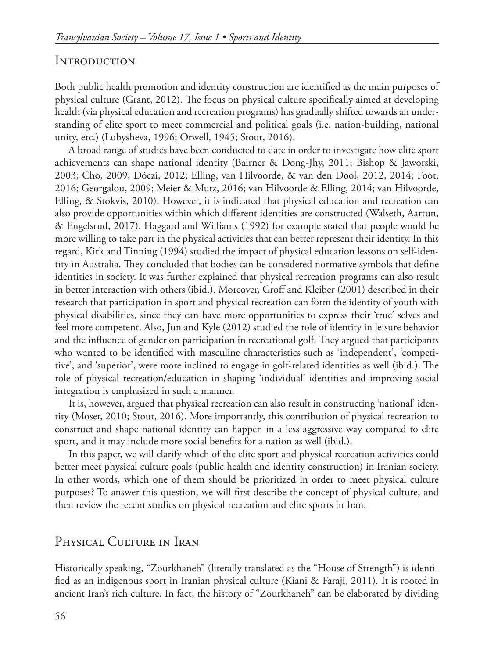## **INTRODUCTION**

Both public health promotion and identity construction are identified as the main purposes of physical culture (Grant, 2012). The focus on physical culture specifically aimed at developing health (via physical education and recreation programs) has gradually shifted towards an understanding of elite sport to meet commercial and political goals (i.e. nation-building, national unity, etc.) (Lubysheva, 1996; Orwell, 1945; Stout, 2016).

A broad range of studies have been conducted to date in order to investigate how elite sport achievements can shape national identity (Bairner & Dong-Jhy, 2011; Bishop & Jaworski, 2003; Cho, 2009; Dóczi, 2012; Elling, van Hilvoorde, & van den Dool, 2012, 2014; Foot, 2016; Georgalou, 2009; Meier & Mutz, 2016; van Hilvoorde & Elling, 2014; van Hilvoorde, Elling, & Stokvis, 2010). However, it is indicated that physical education and recreation can also provide opportunities within which different identities are constructed (Walseth, Aartun, & Engelsrud, 2017). Haggard and Williams (1992) for example stated that people would be more willing to take part in the physical activities that can better represent their identity. In this regard, Kirk and Tinning (1994) studied the impact of physical education lessons on self-identity in Australia. They concluded that bodies can be considered normative symbols that define identities in society. It was further explained that physical recreation programs can also result in better interaction with others (ibid.). Moreover, Groff and Kleiber (2001) described in their research that participation in sport and physical recreation can form the identity of youth with physical disabilities, since they can have more opportunities to express their 'true' selves and feel more competent. Also, Jun and Kyle (2012) studied the role of identity in leisure behavior and the influence of gender on participation in recreational golf. They argued that participants who wanted to be identified with masculine characteristics such as 'independent', 'competitive', and 'superior', were more inclined to engage in golf-related identities as well (ibid.). The role of physical recreation/education in shaping 'individual' identities and improving social integration is emphasized in such a manner.

It is, however, argued that physical recreation can also result in constructing 'national' identity (Moser, 2010; Stout, 2016). More importantly, this contribution of physical recreation to construct and shape national identity can happen in a less aggressive way compared to elite sport, and it may include more social benefits for a nation as well (ibid.).

In this paper, we will clarify which of the elite sport and physical recreation activities could better meet physical culture goals (public health and identity construction) in Iranian society. In other words, which one of them should be prioritized in order to meet physical culture purposes? To answer this question, we will first describe the concept of physical culture, and then review the recent studies on physical recreation and elite sports in Iran.

## PHYSICAL CULTURE IN IRAN

Historically speaking, "Zourkhaneh" (literally translated as the "House of Strength") is identified as an indigenous sport in Iranian physical culture (Kiani & Faraji, 2011). It is rooted in ancient Iran's rich culture. In fact, the history of "Zourkhaneh" can be elaborated by dividing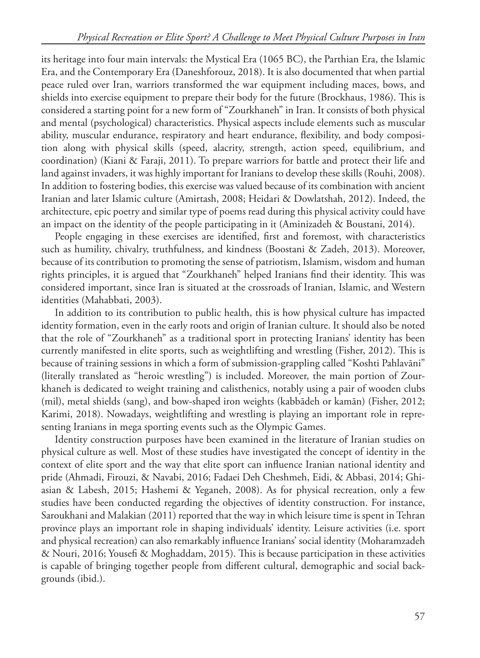its heritage into four main intervals: the Mystical Era (1065 BC), the Parthian Era, the Islamic Era, and the Contemporary Era (Daneshforouz, 2018). It is also documented that when partial peace ruled over Iran, warriors transformed the war equipment including maces, bows, and shields into exercise equipment to prepare their body for the future (Brockhaus, 1986). This is considered a starting point for a new form of "Zourkhaneh" in Iran. It consists of both physical and mental (psychological) characteristics. Physical aspects include elements such as muscular ability, muscular endurance, respiratory and heart endurance, flexibility, and body composition along with physical skills (speed, alacrity, strength, action speed, equilibrium, and coordination) (Kiani & Faraji, 2011). To prepare warriors for battle and protect their life and land against invaders, it was highly important for Iranians to develop these skills (Rouhi, 2008). In addition to fostering bodies, this exercise was valued because of its combination with ancient Iranian and later Islamic culture (Amirtash, 2008; Heidari & Dowlatshah, 2012). Indeed, the architecture, epic poetry and similar type of poems read during this physical activity could have an impact on the identity of the people participating in it (Aminizadeh & Boustani, 2014).

People engaging in these exercises are identified, first and foremost, with characteristics such as humility, chivalry, truthfulness, and kindness (Boostani & Zadeh, 2013). Moreover, because of its contribution to promoting the sense of patriotism, Islamism, wisdom and human rights principles, it is argued that "Zourkhaneh" helped Iranians find their identity. This was considered important, since Iran is situated at the crossroads of Iranian, Islamic, and Western identities (Mahabbati, 2003).

In addition to its contribution to public health, this is how physical culture has impacted identity formation, even in the early roots and origin of Iranian culture. It should also be noted that the role of "Zourkhaneh" as a traditional sport in protecting Iranians' identity has been currently manifested in elite sports, such as weightlifting and wrestling (Fisher, 2012). This is because of training sessions in which a form of submission-grappling called "Koshti Pahlavāni" (literally translated as "heroic wrestling") is included. Moreover, the main portion of Zourkhaneh is dedicated to weight training and calisthenics, notably using a pair of wooden clubs (mil), metal shields (sang), and bow-shaped iron weights (kabbādeh or kamān) (Fisher, 2012; Karimi, 2018). Nowadays, weightlifting and wrestling is playing an important role in representing Iranians in mega sporting events such as the Olympic Games.

Identity construction purposes have been examined in the literature of Iranian studies on physical culture as well. Most of these studies have investigated the concept of identity in the context of elite sport and the way that elite sport can influence Iranian national identity and pride (Ahmadi, Firouzi, & Navabi, 2016; Fadaei Deh Cheshmeh, Eidi, & Abbasi, 2014; Ghiasian & Labesh, 2015; Hashemi & Yeganeh, 2008). As for physical recreation, only a few studies have been conducted regarding the objectives of identity construction. For instance, Saroukhani and Malakian (2011) reported that the way in which leisure time is spent in Tehran province plays an important role in shaping individuals' identity. Leisure activities (i.e. sport and physical recreation) can also remarkably influence Iranians' social identity (Moharamzadeh & Nouri, 2016; Yousefi & Moghaddam, 2015). This is because participation in these activities is capable of bringing together people from different cultural, demographic and social backgrounds (ibid.).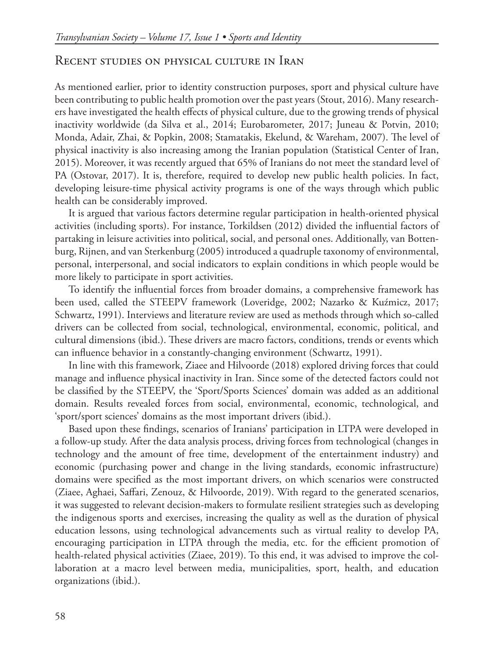## Recent studies on physical culture in Iran

As mentioned earlier, prior to identity construction purposes, sport and physical culture have been contributing to public health promotion over the past years (Stout, 2016). Many researchers have investigated the health effects of physical culture, due to the growing trends of physical inactivity worldwide (da Silva et al., 2014; Eurobarometer, 2017; Juneau & Potvin, 2010; Monda, Adair, Zhai, & Popkin, 2008; Stamatakis, Ekelund, & Wareham, 2007). The level of physical inactivity is also increasing among the Iranian population (Statistical Center of Iran, 2015). Moreover, it was recently argued that 65% of Iranians do not meet the standard level of PA (Ostovar, 2017). It is, therefore, required to develop new public health policies. In fact, developing leisure-time physical activity programs is one of the ways through which public health can be considerably improved.

It is argued that various factors determine regular participation in health-oriented physical activities (including sports). For instance, Torkildsen (2012) divided the influential factors of partaking in leisure activities into political, social, and personal ones. Additionally, van Bottenburg, Rijnen, and van Sterkenburg (2005) introduced a quadruple taxonomy of environmental, personal, interpersonal, and social indicators to explain conditions in which people would be more likely to participate in sport activities.

To identify the influential forces from broader domains, a comprehensive framework has been used, called the STEEPV framework (Loveridge, 2002; Nazarko & Kuźmicz, 2017; Schwartz, 1991). Interviews and literature review are used as methods through which so-called drivers can be collected from social, technological, environmental, economic, political, and cultural dimensions (ibid.). These drivers are macro factors, conditions, trends or events which can influence behavior in a constantly-changing environment (Schwartz, 1991).

In line with this framework, Ziaee and Hilvoorde (2018) explored driving forces that could manage and influence physical inactivity in Iran. Since some of the detected factors could not be classified by the STEEPV, the 'Sport/Sports Sciences' domain was added as an additional domain. Results revealed forces from social, environmental, economic, technological, and 'sport/sport sciences' domains as the most important drivers (ibid.).

Based upon these findings, scenarios of Iranians' participation in LTPA were developed in a follow-up study. After the data analysis process, driving forces from technological (changes in technology and the amount of free time, development of the entertainment industry) and economic (purchasing power and change in the living standards, economic infrastructure) domains were specified as the most important drivers, on which scenarios were constructed (Ziaee, Aghaei, Saffari, Zenouz, & Hilvoorde, 2019). With regard to the generated scenarios, it was suggested to relevant decision-makers to formulate resilient strategies such as developing the indigenous sports and exercises, increasing the quality as well as the duration of physical education lessons, using technological advancements such as virtual reality to develop PA, encouraging participation in LTPA through the media, etc. for the efficient promotion of health-related physical activities (Ziaee, 2019). To this end, it was advised to improve the collaboration at a macro level between media, municipalities, sport, health, and education organizations (ibid.).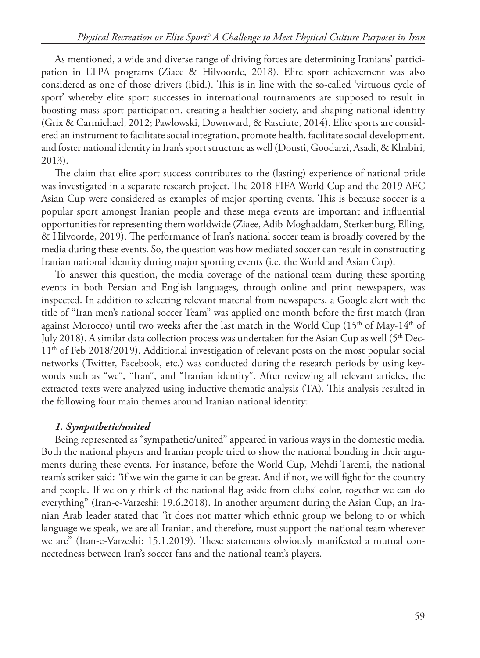As mentioned, a wide and diverse range of driving forces are determining Iranians' participation in LTPA programs (Ziaee & Hilvoorde, 2018). Elite sport achievement was also considered as one of those drivers (ibid.). This is in line with the so-called 'virtuous cycle of sport' whereby elite sport successes in international tournaments are supposed to result in boosting mass sport participation, creating a healthier society, and shaping national identity (Grix & Carmichael, 2012; Pawlowski, Downward, & Rasciute, 2014). Elite sports are considered an instrument to facilitate social integration, promote health, facilitate social development, and foster national identity in Iran's sport structure as well (Dousti, Goodarzi, Asadi, & Khabiri, 2013).

The claim that elite sport success contributes to the (lasting) experience of national pride was investigated in a separate research project. The 2018 FIFA World Cup and the 2019 AFC Asian Cup were considered as examples of major sporting events. This is because soccer is a popular sport amongst Iranian people and these mega events are important and influential opportunities for representing them worldwide (Ziaee, Adib-Moghaddam, Sterkenburg, Elling, & Hilvoorde, 2019). The performance of Iran's national soccer team is broadly covered by the media during these events. So, the question was how mediated soccer can result in constructing Iranian national identity during major sporting events (i.e. the World and Asian Cup).

To answer this question, the media coverage of the national team during these sporting events in both Persian and English languages, through online and print newspapers, was inspected. In addition to selecting relevant material from newspapers, a Google alert with the title of "Iran men's national soccer Team" was applied one month before the first match (Iran against Morocco) until two weeks after the last match in the World Cup  $(15<sup>th</sup>$  of May-14<sup>th</sup> of July 2018). A similar data collection process was undertaken for the Asian Cup as well ( $5<sup>th</sup>$  Dec-11th of Feb 2018/2019). Additional investigation of relevant posts on the most popular social networks (Twitter, Facebook, etc.) was conducted during the research periods by using keywords such as "we", "Iran", and "Iranian identity". After reviewing all relevant articles, the extracted texts were analyzed using inductive thematic analysis (TA). This analysis resulted in the following four main themes around Iranian national identity:

## *1. Sympathetic/united*

Being represented as "sympathetic/united" appeared in various ways in the domestic media. Both the national players and Iranian people tried to show the national bonding in their arguments during these events. For instance, before the World Cup, Mehdi Taremi, the national team's striker said: *"*if we win the game it can be great. And if not, we will fight for the country and people. If we only think of the national flag aside from clubs' color, together we can do everything" (Iran-e-Varzeshi: 19.6.2018). In another argument during the Asian Cup, an Iranian Arab leader stated that *"*it does not matter which ethnic group we belong to or which language we speak, we are all Iranian, and therefore, must support the national team wherever we are" (Iran-e-Varzeshi: 15.1.2019). These statements obviously manifested a mutual connectedness between Iran's soccer fans and the national team's players.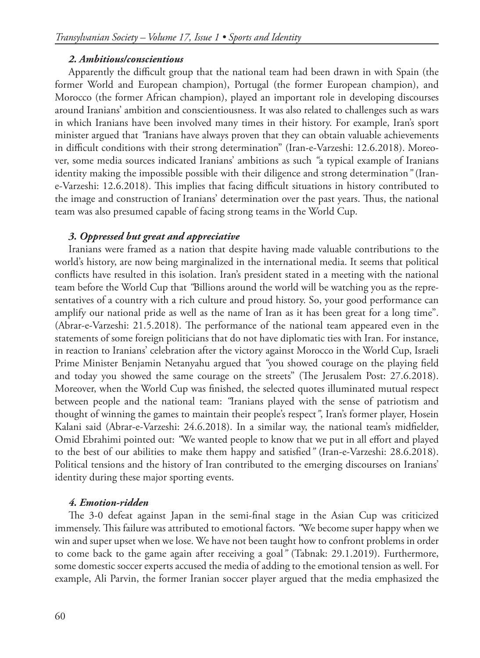#### *2. Ambitious/conscientious*

Apparently the difficult group that the national team had been drawn in with Spain (the former World and European champion), Portugal (the former European champion), and Morocco (the former African champion), played an important role in developing discourses around Iranians' ambition and conscientiousness. It was also related to challenges such as wars in which Iranians have been involved many times in their history. For example, Iran's sport minister argued that *"*Iranians have always proven that they can obtain valuable achievements in difficult conditions with their strong determination" (Iran-e-Varzeshi: 12.6.2018). Moreover, some media sources indicated Iranians' ambitions as such *"*a typical example of Iranians identity making the impossible possible with their diligence and strong determination*"* (Irane-Varzeshi: 12.6.2018). This implies that facing difficult situations in history contributed to the image and construction of Iranians' determination over the past years. Thus, the national team was also presumed capable of facing strong teams in the World Cup.

### *3. Oppressed but great and appreciative*

Iranians were framed as a nation that despite having made valuable contributions to the world's history, are now being marginalized in the international media. It seems that political conflicts have resulted in this isolation. Iran's president stated in a meeting with the national team before the World Cup that *"*Billions around the world will be watching you as the representatives of a country with a rich culture and proud history. So, your good performance can amplify our national pride as well as the name of Iran as it has been great for a long time". (Abrar-e-Varzeshi: 21.5.2018). The performance of the national team appeared even in the statements of some foreign politicians that do not have diplomatic ties with Iran. For instance, in reaction to Iranians' celebration after the victory against Morocco in the World Cup, Israeli Prime Minister Benjamin Netanyahu argued that *"*you showed courage on the playing field and today you showed the same courage on the streets" (The Jerusalem Post: 27.6.2018). Moreover, when the World Cup was finished, the selected quotes illuminated mutual respect between people and the national team: *"*Iranians played with the sense of patriotism and thought of winning the games to maintain their people's respect*"*, Iran's former player, Hosein Kalani said (Abrar-e-Varzeshi: 24.6.2018). In a similar way, the national team's midfielder, Omid Ebrahimi pointed out: *"*We wanted people to know that we put in all effort and played to the best of our abilities to make them happy and satisfied*"* (Iran-e-Varzeshi: 28.6.2018). Political tensions and the history of Iran contributed to the emerging discourses on Iranians' identity during these major sporting events.

#### *4. Emotion-ridden*

The 3-0 defeat against Japan in the semi-final stage in the Asian Cup was criticized immensely. This failure was attributed to emotional factors. *"*We become super happy when we win and super upset when we lose. We have not been taught how to confront problems in order to come back to the game again after receiving a goal*"* (Tabnak: 29.1.2019). Furthermore, some domestic soccer experts accused the media of adding to the emotional tension as well. For example, Ali Parvin, the former Iranian soccer player argued that the media emphasized the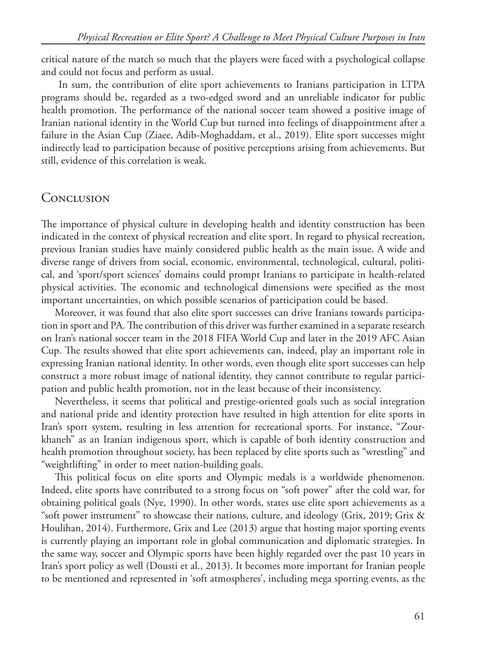critical nature of the match so much that the players were faced with a psychological collapse and could not focus and perform as usual.

 In sum, the contribution of elite sport achievements to Iranians participation in LTPA programs should be, regarded as a two-edged sword and an unreliable indicator for public health promotion. The performance of the national soccer team showed a positive image of Iranian national identity in the World Cup but turned into feelings of disappointment after a failure in the Asian Cup (Ziaee, Adib-Moghaddam, et al., 2019). Elite sport successes might indirectly lead to participation because of positive perceptions arising from achievements. But still, evidence of this correlation is weak.

# **CONCLUSION**

The importance of physical culture in developing health and identity construction has been indicated in the context of physical recreation and elite sport. In regard to physical recreation, previous Iranian studies have mainly considered public health as the main issue. A wide and diverse range of drivers from social, economic, environmental, technological, cultural, political, and 'sport/sport sciences' domains could prompt Iranians to participate in health-related physical activities. The economic and technological dimensions were specified as the most important uncertainties, on which possible scenarios of participation could be based.

Moreover, it was found that also elite sport successes can drive Iranians towards participation in sport and PA. The contribution of this driver was further examined in a separate research on Iran's national soccer team in the 2018 FIFA World Cup and later in the 2019 AFC Asian Cup. The results showed that elite sport achievements can, indeed, play an important role in expressing Iranian national identity. In other words, even though elite sport successes can help construct a more robust image of national identity, they cannot contribute to regular participation and public health promotion, not in the least because of their inconsistency.

Nevertheless, it seems that political and prestige-oriented goals such as social integration and national pride and identity protection have resulted in high attention for elite sports in Iran's sport system, resulting in less attention for recreational sports. For instance, "Zourkhaneh" as an Iranian indigenous sport, which is capable of both identity construction and health promotion throughout society, has been replaced by elite sports such as "wrestling" and "weightlifting" in order to meet nation-building goals.

This political focus on elite sports and Olympic medals is a worldwide phenomenon. Indeed, elite sports have contributed to a strong focus on "soft power" after the cold war, for obtaining political goals (Nye, 1990). In other words, states use elite sport achievements as a "soft power instrument" to showcase their nations, culture, and ideology (Grix, 2019; Grix & Houlihan, 2014). Furthermore, Grix and Lee (2013) argue that hosting major sporting events is currently playing an important role in global communication and diplomatic strategies. In the same way, soccer and Olympic sports have been highly regarded over the past 10 years in Iran's sport policy as well (Dousti et al., 2013). It becomes more important for Iranian people to be mentioned and represented in 'soft atmospheres', including mega sporting events, as the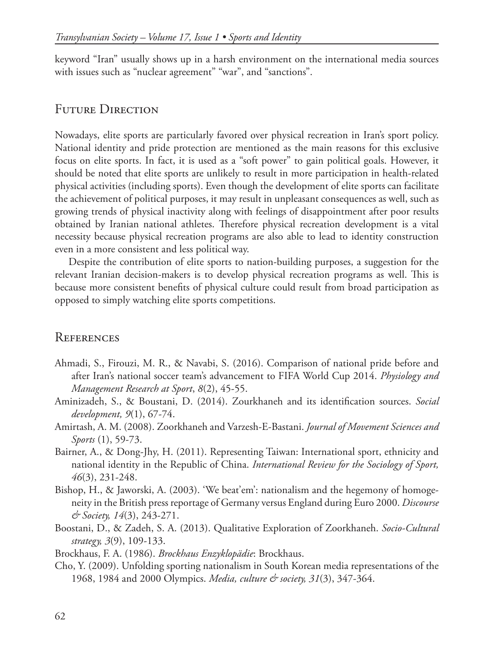keyword "Iran" usually shows up in a harsh environment on the international media sources with issues such as "nuclear agreement" "war", and "sanctions".

# FUTURE DIRECTION

Nowadays, elite sports are particularly favored over physical recreation in Iran's sport policy. National identity and pride protection are mentioned as the main reasons for this exclusive focus on elite sports. In fact, it is used as a "soft power" to gain political goals. However, it should be noted that elite sports are unlikely to result in more participation in health-related physical activities (including sports). Even though the development of elite sports can facilitate the achievement of political purposes, it may result in unpleasant consequences as well, such as growing trends of physical inactivity along with feelings of disappointment after poor results obtained by Iranian national athletes. Therefore physical recreation development is a vital necessity because physical recreation programs are also able to lead to identity construction even in a more consistent and less political way.

Despite the contribution of elite sports to nation-building purposes, a suggestion for the relevant Iranian decision-makers is to develop physical recreation programs as well. This is because more consistent benefits of physical culture could result from broad participation as opposed to simply watching elite sports competitions.

# **REFERENCES**

- Ahmadi, S., Firouzi, M. R., & Navabi, S. (2016). Comparison of national pride before and after Iran's national soccer team's advancement to FIFA World Cup 2014. *Physiology and Management Research at Sport*, *8*(2), 45-55.
- Aminizadeh, S., & Boustani, D. (2014). Zourkhaneh and its identification sources. *Social development, 9*(1), 67-74.
- Amirtash, A. M. (2008). Zoorkhaneh and Varzesh-E-Bastani. *Journal of Movement Sciences and Sports* (1), 59-73.
- Bairner, A., & Dong-Jhy, H. (2011). Representing Taiwan: International sport, ethnicity and national identity in the Republic of China. *International Review for the Sociology of Sport, 46*(3), 231-248.
- Bishop, H., & Jaworski, A. (2003). 'We beat'em': nationalism and the hegemony of homogeneity in the British press reportage of Germany versus England during Euro 2000. *Discourse & Society, 14*(3), 243-271.
- Boostani, D., & Zadeh, S. A. (2013). Qualitative Exploration of Zoorkhaneh. *Socio-Cultural strategy, 3*(9), 109-133.
- Brockhaus, F. A. (1986). *Brockhaus Enzyklopädie*: Brockhaus.
- Cho, Y. (2009). Unfolding sporting nationalism in South Korean media representations of the 1968, 1984 and 2000 Olympics. *Media, culture & society, 31*(3), 347-364.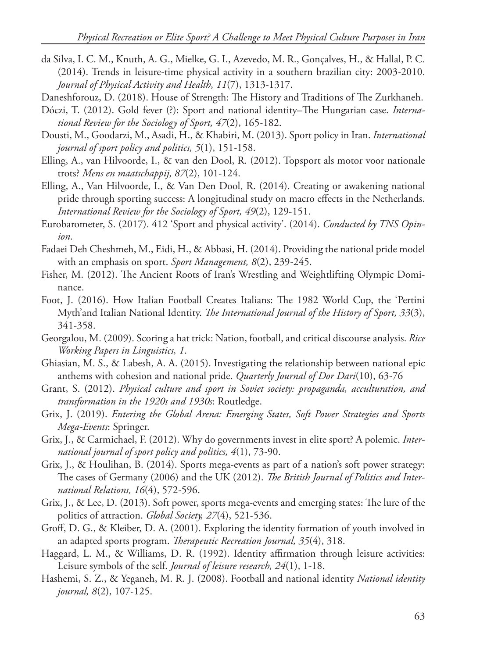- da Silva, I. C. M., Knuth, A. G., Mielke, G. I., Azevedo, M. R., Gonçalves, H., & Hallal, P. C. (2014). Trends in leisure-time physical activity in a southern brazilian city: 2003-2010. *Journal of Physical Activity and Health, 11*(7), 1313-1317.
- Daneshforouz, D. (2018). House of Strength: The History and Traditions of The Zurkhaneh.
- Dóczi, T. (2012). Gold fever (?): Sport and national identity–The Hungarian case. *International Review for the Sociology of Sport, 47*(2), 165-182.
- Dousti, M., Goodarzi, M., Asadi, H., & Khabiri, M. (2013). Sport policy in Iran. *International journal of sport policy and politics, 5*(1), 151-158.
- Elling, A., van Hilvoorde, I., & van den Dool, R. (2012). Topsport als motor voor nationale trots? *Mens en maatschappij, 87*(2), 101-124.
- Elling, A., Van Hilvoorde, I., & Van Den Dool, R. (2014). Creating or awakening national pride through sporting success: A longitudinal study on macro effects in the Netherlands. *International Review for the Sociology of Sport, 49*(2), 129-151.
- Eurobarometer, S. (2017). 412 'Sport and physical activity'. (2014). *Conducted by TNS Opinion*.
- Fadaei Deh Cheshmeh, M., Eidi, H., & Abbasi, H. (2014). Providing the national pride model with an emphasis on sport. *Sport Management, 8*(2), 239-245.
- Fisher, M. (2012). The Ancient Roots of Iran's Wrestling and Weightlifting Olympic Dominance.
- Foot, J. (2016). How Italian Football Creates Italians: The 1982 World Cup, the 'Pertini Myth'and Italian National Identity. *The International Journal of the History of Sport, 33*(3), 341-358.
- Georgalou, M. (2009). Scoring a hat trick: Nation, football, and critical discourse analysis. *Rice Working Papers in Linguistics, 1*.
- Ghiasian, M. S., & Labesh, A. A. (2015). Investigating the relationship between national epic anthems with cohesion and national pride. *Quarterly Journal of Dor Dari*(10), 63-76
- Grant, S. (2012). *Physical culture and sport in Soviet society: propaganda, acculturation, and transformation in the 1920s and 1930s*: Routledge.
- Grix, J. (2019). *Entering the Global Arena: Emerging States, Soft Power Strategies and Sports Mega-Events*: Springer.
- Grix, J., & Carmichael, F. (2012). Why do governments invest in elite sport? A polemic. *International journal of sport policy and politics, 4*(1), 73-90.
- Grix, J., & Houlihan, B. (2014). Sports mega-events as part of a nation's soft power strategy: The cases of Germany (2006) and the UK (2012). *The British Journal of Politics and International Relations, 16*(4), 572-596.
- Grix, J., & Lee, D. (2013). Soft power, sports mega-events and emerging states: The lure of the politics of attraction. *Global Society, 27*(4), 521-536.
- Groff, D. G., & Kleiber, D. A. (2001). Exploring the identity formation of youth involved in an adapted sports program. *Therapeutic Recreation Journal, 35*(4), 318.
- Haggard, L. M., & Williams, D. R. (1992). Identity affirmation through leisure activities: Leisure symbols of the self. *Journal of leisure research, 24*(1), 1-18.
- Hashemi, S. Z., & Yeganeh, M. R. J. (2008). Football and national identity *National identity journal, 8*(2), 107-125.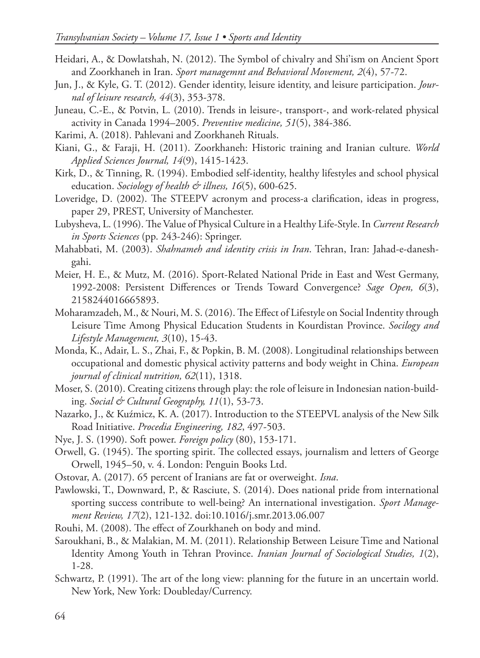- Heidari, A., & Dowlatshah, N. (2012). The Symbol of chivalry and Shi'ism on Ancient Sport and Zoorkhaneh in Iran. *Sport managemnt and Behavioral Movement, 2*(4), 57-72.
- Jun, J., & Kyle, G. T. (2012). Gender identity, leisure identity, and leisure participation. *Journal of leisure research, 44*(3), 353-378.
- Juneau, C.-E., & Potvin, L. (2010). Trends in leisure-, transport-, and work-related physical activity in Canada 1994–2005. *Preventive medicine, 51*(5), 384-386.
- Karimi, A. (2018). Pahlevani and Zoorkhaneh Rituals.
- Kiani, G., & Faraji, H. (2011). Zoorkhaneh: Historic training and Iranian culture. *World Applied Sciences Journal, 14*(9), 1415-1423.
- Kirk, D., & Tinning, R. (1994). Embodied self-identity, healthy lifestyles and school physical education. *Sociology of health & illness, 16*(5), 600-625.
- Loveridge, D. (2002). The STEEPV acronym and process-a clarification, ideas in progress, paper 29, PREST, University of Manchester.
- Lubysheva, L. (1996). The Value of Physical Culture in a Healthy Life-Style. In *Current Research in Sports Sciences* (pp. 243-246): Springer.
- Mahabbati, M. (2003). *Shahnameh and identity crisis in Iran*. Tehran, Iran: Jahad-e-daneshgahi.
- Meier, H. E., & Mutz, M. (2016). Sport-Related National Pride in East and West Germany, 1992-2008: Persistent Differences or Trends Toward Convergence? *Sage Open, 6*(3), 2158244016665893.
- Moharamzadeh, M., & Nouri, M. S. (2016). The Effect of Lifestyle on Social Indentity through Leisure Time Among Physical Education Students in Kourdistan Province. *Socilogy and Lifestyle Management, 3*(10), 15-43.
- Monda, K., Adair, L. S., Zhai, F., & Popkin, B. M. (2008). Longitudinal relationships between occupational and domestic physical activity patterns and body weight in China. *European journal of clinical nutrition, 62*(11), 1318.
- Moser, S. (2010). Creating citizens through play: the role of leisure in Indonesian nation-building. *Social & Cultural Geography, 11*(1), 53-73.
- Nazarko, J., & Kuźmicz, K. A. (2017). Introduction to the STEEPVL analysis of the New Silk Road Initiative. *Procedia Engineering, 182*, 497-503.
- Nye, J. S. (1990). Soft power. *Foreign policy* (80), 153-171.
- Orwell, G. (1945). The sporting spirit. The collected essays, journalism and letters of George Orwell, 1945–50, v. 4. London: Penguin Books Ltd.
- Ostovar, A. (2017). 65 percent of Iranians are fat or overweight. *Isna*.
- Pawlowski, T., Downward, P., & Rasciute, S. (2014). Does national pride from international sporting success contribute to well-being? An international investigation. *Sport Management Review, 17*(2), 121-132. doi:10.1016/j.smr.2013.06.007
- Rouhi, M. (2008). The effect of Zourkhaneh on body and mind.
- Saroukhani, B., & Malakian, M. M. (2011). Relationship Between Leisure Time and National Identity Among Youth in Tehran Province. *Iranian Journal of Sociological Studies, 1*(2), 1-28.
- Schwartz, P. (1991). The art of the long view: planning for the future in an uncertain world. New York, New York: Doubleday/Currency.